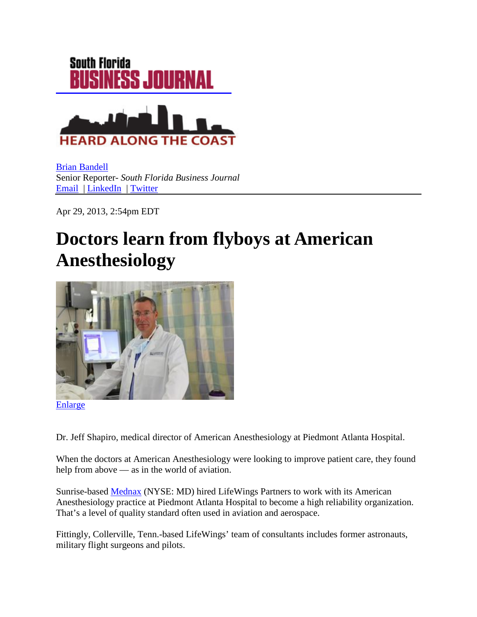

[Brian Bandell](http://www.bizjournals.com/southflorida/bio/7461/Brian+Bandell) Senior Reporter- *South Florida Business Journal* [Email](mailto:bbandell@bizjournals.com) | [LinkedIn](http://www.linkedin.com/pub/brian-bandell/19/405/860) | [Twitter](https://twitter.com/SFlaBizBandell)

Apr 29, 2013, 2:54pm EDT

## **Doctors learn from flyboys at American Anesthesiology**



[Enlarge](http://www.bizjournals.com/southflorida/blog/2013/04/doctors-learn-from-flyboys-at-american.html?s=image_gallery)

Dr. Jeff Shapiro, medical director of American Anesthesiology at Piedmont Atlanta Hospital.

When the doctors at American Anesthesiology were looking to improve patient care, they found help from above — as in the world of aviation.

Sunrise-based [Mednax](http://www.bizjournals.com/profiles/company/us/fl/sunrise/mednax/3288141) (NYSE: MD) hired LifeWings Partners to work with its American Anesthesiology practice at Piedmont Atlanta Hospital to become a high reliability organization. That's a level of quality standard often used in aviation and aerospace.

Fittingly, Collerville, Tenn.-based LifeWings' team of consultants includes former astronauts, military flight surgeons and pilots.